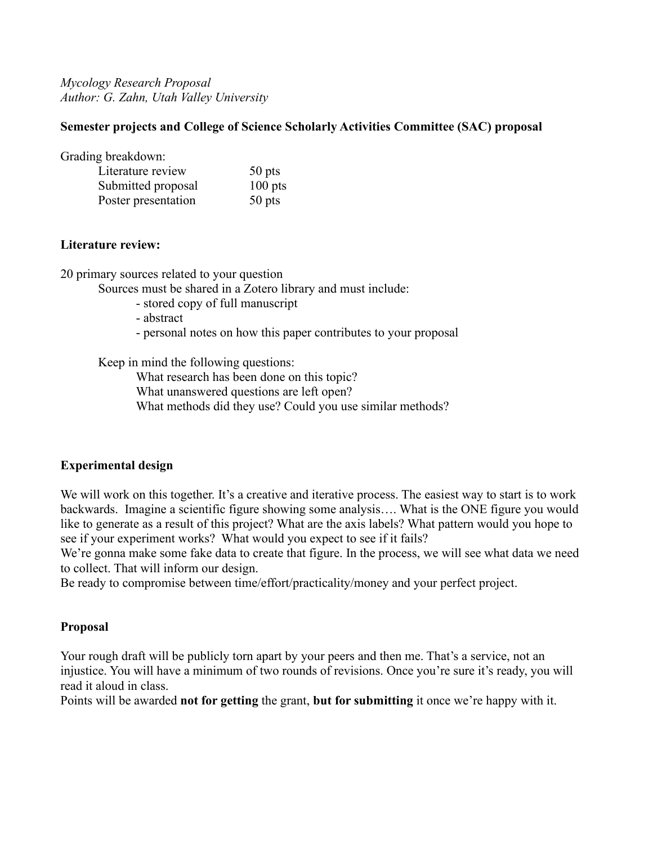*Mycology Research Proposal Author: G. Zahn, Utah Valley University*

## **Semester projects and College of Science Scholarly Activities Committee (SAC) proposal**

Grading breakdown:

| Literature review   | 50 pts    |
|---------------------|-----------|
| Submitted proposal  | $100$ pts |
| Poster presentation | $50$ pts  |

### **Literature review:**

20 primary sources related to your question

Sources must be shared in a Zotero library and must include:

- stored copy of full manuscript
- abstract
- personal notes on how this paper contributes to your proposal

Keep in mind the following questions:

What research has been done on this topic?

What unanswered questions are left open?

What methods did they use? Could you use similar methods?

# **Experimental design**

We will work on this together. It's a creative and iterative process. The easiest way to start is to work backwards. Imagine a scientific figure showing some analysis…. What is the ONE figure you would like to generate as a result of this project? What are the axis labels? What pattern would you hope to see if your experiment works? What would you expect to see if it fails?

We're gonna make some fake data to create that figure. In the process, we will see what data we need to collect. That will inform our design.

Be ready to compromise between time/effort/practicality/money and your perfect project.

# **Proposal**

Your rough draft will be publicly torn apart by your peers and then me. That's a service, not an injustice. You will have a minimum of two rounds of revisions. Once you're sure it's ready, you will read it aloud in class.

Points will be awarded **not for getting** the grant, **but for submitting** it once we're happy with it.